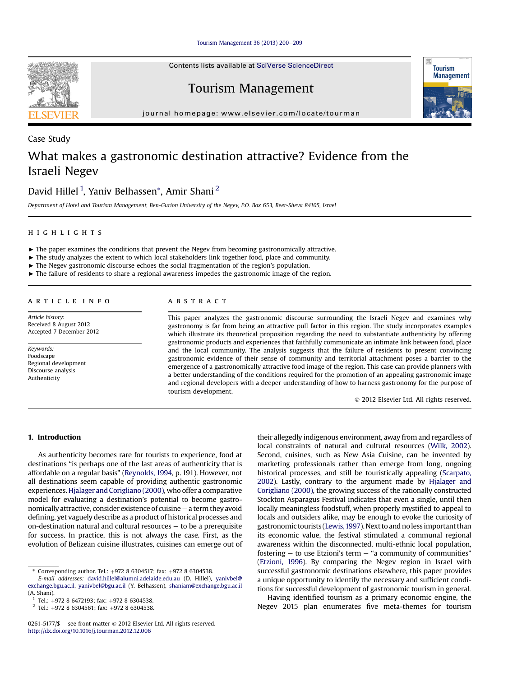[Tourism Management 36 \(2013\) 200](http://dx.doi.org/10.1016/j.tourman.2012.12.006)-[209](http://dx.doi.org/10.1016/j.tourman.2012.12.006)

Contents lists available at SciVerse ScienceDirect

# Tourism Management

journal homepage: [www.elsevier.com/locate/tourman](http://www.elsevier.com/locate/tourman)

Case Study

# What makes a gastronomic destination attractive? Evidence from the Israeli Negev

David Hillel <sup>1</sup>, Yaniv Belhassen\*, Amir Shani <sup>2</sup>

Department of Hotel and Tourism Management, Ben-Gurion University of the Negev, P.O. Box 653, Beer-Sheva 84105, Israel

# highlights are the control of

- $\blacktriangleright$  The paper examines the conditions that prevent the Negev from becoming gastronomically attractive.
- $\blacktriangleright$  The study analyzes the extent to which local stakeholders link together food, place and community.
- $\blacktriangleright$  The Negev gastronomic discourse echoes the social fragmentation of the region's population.
- $\blacktriangleright$  The failure of residents to share a regional awareness impedes the gastronomic image of the region.

Article history: Received 8 August 2012 Accepted 7 December 2012

Keywords: Foodscape Regional development Discourse analysis Authenticity

# **ABSTRACT**

This paper analyzes the gastronomic discourse surrounding the Israeli Negev and examines why gastronomy is far from being an attractive pull factor in this region. The study incorporates examples which illustrate its theoretical proposition regarding the need to substantiate authenticity by offering gastronomic products and experiences that faithfully communicate an intimate link between food, place and the local community. The analysis suggests that the failure of residents to present convincing gastronomic evidence of their sense of community and territorial attachment poses a barrier to the emergence of a gastronomically attractive food image of the region. This case can provide planners with a better understanding of the conditions required for the promotion of an appealing gastronomic image and regional developers with a deeper understanding of how to harness gastronomy for the purpose of tourism development.

2012 Elsevier Ltd. All rights reserved.

**Tourism Management** 

# 1. Introduction

As authenticity becomes rare for tourists to experience, food at destinations "is perhaps one of the last areas of authenticity that is affordable on a regular basis" [\(Reynolds, 1994,](#page-9-0) p. 191). However, not all destinations seem capable of providing authentic gastronomic experiences. [Hjalager and Corigliano \(2000\)](#page-9-0), who offer a comparative model for evaluating a destination's potential to become gastronomically attractive, consider existence of cuisine  $-$  a term they avoid defining, yet vaguely describe as a product of historical processes and on-destination natural and cultural resources  $-$  to be a prerequisite for success. In practice, this is not always the case. First, as the evolution of Belizean cuisine illustrates, cuisines can emerge out of their allegedly indigenous environment, away from and regardless of local constraints of natural and cultural resources [\(Wilk, 2002\)](#page-9-0). Second, cuisines, such as New Asia Cuisine, can be invented by marketing professionals rather than emerge from long, ongoing historical processes, and still be touristically appealing [\(Scarpato,](#page-9-0) [2002\)](#page-9-0). Lastly, contrary to the argument made by [Hjalager and](#page-9-0) [Corigliano \(2000\),](#page-9-0) the growing success of the rationally constructed Stockton Asparagus Festival indicates that even a single, until then locally meaningless foodstuff, when properly mystified to appeal to locals and outsiders alike, may be enough to evoke the curiosity of gastronomic tourists [\(Lewis,1997\)](#page-9-0). Next to and nolessimportant than its economic value, the festival stimulated a communal regional awareness within the disconnected, multi-ethnic local population, fostering  $-$  to use Etzioni's term  $-$  "a community of communities" ([Etzioni, 1996\)](#page-8-0). By comparing the Negev region in Israel with successful gastronomic destinations elsewhere, this paper provides a unique opportunity to identify the necessary and sufficient conditions for successful development of gastronomic tourism in general.

Having identified tourism as a primary economic engine, the Negev 2015 plan enumerates five meta-themes for tourism



<sup>\*</sup> Corresponding author. Tel.:  $+972$  8 6304517; fax:  $+972$  8 6304538.

E-mail addresses: [david.hillel@alumni.adelaide.edu.au](mailto:david.hillel@alumni.adelaide.edu.au) (D. Hillel), [yanivbel@](mailto:yanivbel@exchange.bgu.ac.il) [exchange.bgu.ac.il](mailto:yanivbel@exchange.bgu.ac.il), [yanivbel@bgu.ac.il](mailto:yanivbel@bgu.ac.il) (Y. Belhassen), [shaniam@exchange.bgu.ac.il](mailto:shaniam@exchange.bgu.ac.il) (A. Shani).<br><sup>1</sup> Tel.: +972 8 6472193; fax: +972 8 6304538.

 $2$  Tel.: +972 8 6304561; fax: +972 8 6304538.

 $0261-5177/\$$  - see front matter  $\degree$  2012 Elsevier Ltd. All rights reserved. <http://dx.doi.org/10.1016/j.tourman.2012.12.006>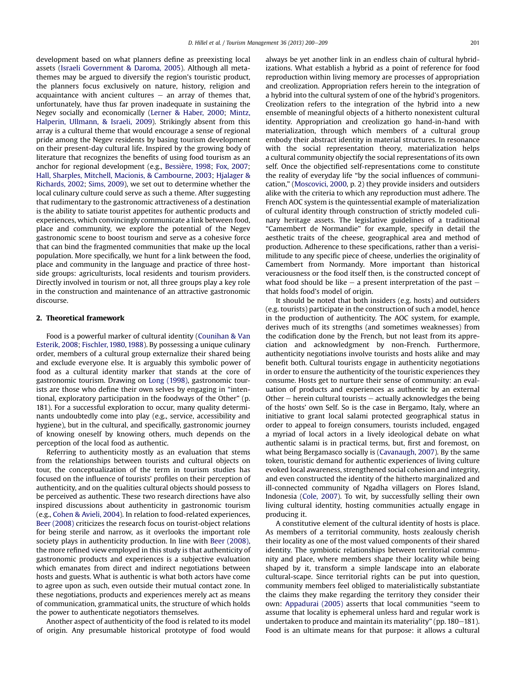development based on what planners define as preexisting local assets [\(Israeli Government & Daroma, 2005\)](#page-9-0). Although all metathemes may be argued to diversify the region's touristic product, the planners focus exclusively on nature, history, religion and acquaintance with ancient cultures  $-$  an array of themes that, unfortunately, have thus far proven inadequate in sustaining the Negev socially and economically ([Lerner & Haber, 2000;](#page-9-0) [Mintz,](#page-9-0) [Halperin, Ullmann, & Israeli, 2009](#page-9-0)). Strikingly absent from this array is a cultural theme that would encourage a sense of regional pride among the Negev residents by basing tourism development on their present-day cultural life. Inspired by the growing body of literature that recognizes the benefits of using food tourism as an anchor for regional development (e.g., [Bessière, 1998](#page-8-0); [Fox, 2007;](#page-9-0) [Hall, Sharples, Mitchell, Macionis, & Cambourne, 2003](#page-9-0); [Hjalager &](#page-9-0) [Richards, 2002;](#page-9-0) [Sims, 2009](#page-9-0)), we set out to determine whether the local culinary culture could serve as such a theme. After suggesting that rudimentary to the gastronomic attractiveness of a destination is the ability to satiate tourist appetites for authentic products and experiences, which convincingly communicate a link between food, place and community, we explore the potential of the Negev gastronomic scene to boost tourism and serve as a cohesive force that can bind the fragmented communities that make up the local population. More specifically, we hunt for a link between the food, place and community in the language and practice of three hostside groups: agriculturists, local residents and tourism providers. Directly involved in tourism or not, all three groups play a key role in the construction and maintenance of an attractive gastronomic discourse.

# 2. Theoretical framework

Food is a powerful marker of cultural identity [\(Counihan & Van](#page-8-0) [Esterik, 2008;](#page-8-0) [Fischler, 1980,](#page-8-0) [1988](#page-8-0)). By possessing a unique culinary order, members of a cultural group externalize their shared being and exclude everyone else. It is arguably this symbolic power of food as a cultural identity marker that stands at the core of gastronomic tourism. Drawing on [Long \(1998\)](#page-9-0), gastronomic tourists are those who define their own selves by engaging in "intentional, exploratory participation in the foodways of the Other" (p. 181). For a successful exploration to occur, many quality determinants undoubtedly come into play (e.g., service, accessibility and hygiene), but in the cultural, and specifically, gastronomic journey of knowing oneself by knowing others, much depends on the perception of the local food as authentic.

Referring to authenticity mostly as an evaluation that stems from the relationships between tourists and cultural objects on tour, the conceptualization of the term in tourism studies has focused on the influence of tourists' profiles on their perception of authenticity, and on the qualities cultural objects should possess to be perceived as authentic. These two research directions have also inspired discussions about authenticity in gastronomic tourism (e.g., [Cohen & Avieli, 2004](#page-8-0)). In relation to food-related experiences, [Beer \(2008\)](#page-8-0) criticizes the research focus on tourist-object relations for being sterile and narrow, as it overlooks the important role society plays in authenticity production. In line with [Beer \(2008\),](#page-8-0) the more refined view employed in this study is that authenticity of gastronomic products and experiences is a subjective evaluation which emanates from direct and indirect negotiations between hosts and guests. What is authentic is what both actors have come to agree upon as such, even outside their mutual contact zone. In these negotiations, products and experiences merely act as means of communication, grammatical units, the structure of which holds the power to authenticate negotiators themselves.

Another aspect of authenticity of the food is related to its model of origin. Any presumable historical prototype of food would always be yet another link in an endless chain of cultural hybridizations. What establish a hybrid as a point of reference for food reproduction within living memory are processes of appropriation and creolization. Appropriation refers herein to the integration of a hybrid into the cultural system of one of the hybrid's progenitors. Creolization refers to the integration of the hybrid into a new ensemble of meaningful objects of a hitherto nonexistent cultural identity. Appropriation and creolization go hand-in-hand with materialization, through which members of a cultural group embody their abstract identity in material structures. In resonance with the social representation theory, materialization helps a cultural community objectify the social representations of its own self. Once the objectified self-representations come to constitute the reality of everyday life "by the social influences of communication," [\(Moscovici, 2000](#page-9-0), p. 2) they provide insiders and outsiders alike with the criteria to which any reproduction must adhere. The French AOC system is the quintessential example of materialization of cultural identity through construction of strictly modeled culinary heritage assets. The legislative guidelines of a traditional "Camembert de Normandie" for example, specify in detail the aesthetic traits of the cheese, geographical area and method of production. Adherence to these specifications, rather than a verisimilitude to any specific piece of cheese, underlies the originality of Camembert from Normandy. More important than historical veraciousness or the food itself then, is the constructed concept of what food should be like  $-$  a present interpretation of the past  $$ that holds food's model of origin.

It should be noted that both insiders (e.g. hosts) and outsiders (e.g. tourists) participate in the construction of such a model, hence in the production of authenticity. The AOC system, for example, derives much of its strengths (and sometimes weaknesses) from the codification done by the French, but not least from its appreciation and acknowledgment by non-French. Furthermore, authenticity negotiations involve tourists and hosts alike and may benefit both. Cultural tourists engage in authenticity negotiations in order to ensure the authenticity of the touristic experiences they consume. Hosts get to nurture their sense of community: an evaluation of products and experiences as authentic by an external Other  $-$  herein cultural tourists  $-$  actually acknowledges the being of the hosts' own Self. So is the case in Bergamo, Italy, where an initiative to grant local salami protected geographical status in order to appeal to foreign consumers, tourists included, engaged a myriad of local actors in a lively ideological debate on what authentic salami is in practical terms, but, first and foremost, on what being Bergamasco socially is [\(Cavanaugh, 2007\)](#page-8-0). By the same token, touristic demand for authentic experiences of living culture evoked local awareness, strengthened social cohesion and integrity, and even constructed the identity of the hitherto marginalized and ill-connected community of Ngadha villagers on Flores Island, Indonesia ([Cole, 2007\)](#page-8-0). To wit, by successfully selling their own living cultural identity, hosting communities actually engage in producing it.

A constitutive element of the cultural identity of hosts is place. As members of a territorial community, hosts zealously cherish their locality as one of the most valued components of their shared identity. The symbiotic relationships between territorial community and place, where members shape their locality while being shaped by it, transform a simple landscape into an elaborate cultural-scape. Since territorial rights can be put into question, community members feel obliged to materialistically substantiate the claims they make regarding the territory they consider their own: [Appadurai \(2005\)](#page-8-0) asserts that local communities "seem to assume that locality is ephemeral unless hard and regular work is undertaken to produce and maintain its materiality" (pp.  $180-181$ ). Food is an ultimate means for that purpose: it allows a cultural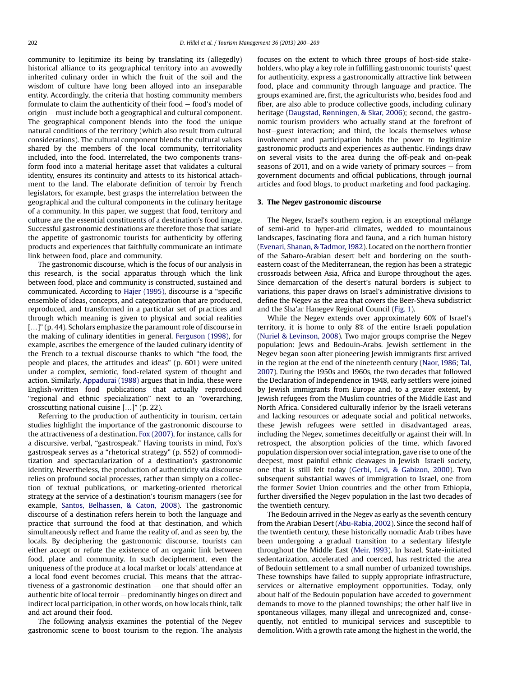community to legitimize its being by translating its (allegedly) historical alliance to its geographical territory into an avowedly inherited culinary order in which the fruit of the soil and the wisdom of culture have long been alloyed into an inseparable entity. Accordingly, the criteria that hosting community members formulate to claim the authenticity of their food  $-$  food's model of origin e must include both a geographical and cultural component. The geographical component blends into the food the unique natural conditions of the territory (which also result from cultural considerations). The cultural component blends the cultural values shared by the members of the local community, territoriality included, into the food. Interrelated, the two components transform food into a material heritage asset that validates a cultural identity, ensures its continuity and attests to its historical attachment to the land. The elaborate definition of terroir by French legislators, for example, best grasps the interrelation between the geographical and the cultural components in the culinary heritage of a community. In this paper, we suggest that food, territory and culture are the essential constituents of a destination's food image. Successful gastronomic destinations are therefore those that satiate the appetite of gastronomic tourists for authenticity by offering products and experiences that faithfully communicate an intimate link between food, place and community.

The gastronomic discourse, which is the focus of our analysis in this research, is the social apparatus through which the link between food, place and community is constructed, sustained and communicated. According to [Hajer \(1995\),](#page-9-0) discourse is a "specific ensemble of ideas, concepts, and categorization that are produced, reproduced, and transformed in a particular set of practices and through which meaning is given to physical and social realities [...]" (p. 44). Scholars emphasize the paramount role of discourse in the making of culinary identities in general. [Ferguson \(1998\)](#page-8-0), for example, ascribes the emergence of the lauded culinary identity of the French to a textual discourse thanks to which "the food, the people and places, the attitudes and ideas" (p. 601) were united under a complex, semiotic, food-related system of thought and action. Similarly, [Appadurai \(1988\)](#page-8-0) argues that in India, these were English-written food publications that actually reproduced "regional and ethnic specialization" next to an "overarching, crosscutting national cuisine  $[...]$ " (p. 22).

Referring to the production of authenticity in tourism, certain studies highlight the importance of the gastronomic discourse to the attractiveness of a destination. [Fox \(2007\)](#page-9-0), for instance, calls for a discursive, verbal, "gastrospeak." Having tourists in mind, Fox's gastrospeak serves as a "rhetorical strategy" (p. 552) of commoditization and spectacularization of a destination's gastronomic identity. Nevertheless, the production of authenticity via discourse relies on profound social processes, rather than simply on a collection of textual publications, or marketing-oriented rhetorical strategy at the service of a destination's tourism managers (see for example, [Santos, Belhassen, & Caton, 2008\)](#page-9-0). The gastronomic discourse of a destination refers herein to both the language and practice that surround the food at that destination, and which simultaneously reflect and frame the reality of, and as seen by, the locals. By deciphering the gastronomic discourse, tourists can either accept or refute the existence of an organic link between food, place and community. In such decipherment, even the uniqueness of the produce at a local market or locals' attendance at a local food event becomes crucial. This means that the attractiveness of a gastronomic destination  $-$  one that should offer an authentic bite of local terroir  $-$  predominantly hinges on direct and indirect local participation, in other words, on how locals think, talk and act around their food.

The following analysis examines the potential of the Negev gastronomic scene to boost tourism to the region. The analysis focuses on the extent to which three groups of host-side stakeholders, who play a key role in fulfilling gastronomic tourists' quest for authenticity, express a gastronomically attractive link between food, place and community through language and practice. The groups examined are, first, the agriculturists who, besides food and fiber, are also able to produce collective goods, including culinary heritage ([Daugstad, Rønningen, & Skar, 2006\)](#page-8-0); second, the gastronomic tourism providers who actually stand at the forefront of host-guest interaction; and third, the locals themselves whose involvement and participation holds the power to legitimize gastronomic products and experiences as authentic. Findings draw on several visits to the area during the off-peak and on-peak seasons of 2011, and on a wide variety of primary sources  $-$  from government documents and official publications, through journal articles and food blogs, to product marketing and food packaging.

#### 3. The Negev gastronomic discourse

The Negev, Israel's southern region, is an exceptional mélange of semi-arid to hyper-arid climates, wedded to mountainous landscapes, fascinating flora and fauna, and a rich human history ([Evenari, Shanan, & Tadmor, 1982\)](#page-8-0). Located on the northern frontier of the Saharo-Arabian desert belt and bordering on the southeastern coast of the Mediterranean, the region has been a strategic crossroads between Asia, Africa and Europe throughout the ages. Since demarcation of the desert's natural borders is subject to variations, this paper draws on Israel's administrative divisions to define the Negev as the area that covers the Beer-Sheva subdistrict and the Sha'ar Hanegev Regional Council ([Fig. 1](#page-3-0)).

While the Negev extends over approximately 60% of Israel's territory, it is home to only 8% of the entire Israeli population ([Nuriel & Levinson, 2008\)](#page-9-0). Two major groups comprise the Negev population: Jews and Bedouin-Arabs. Jewish settlement in the Negev began soon after pioneering Jewish immigrants first arrived in the region at the end of the nineteenth century [\(Naor, 1986](#page-9-0); [Tal,](#page-9-0) [2007\)](#page-9-0). During the 1950s and 1960s, the two decades that followed the Declaration of Independence in 1948, early settlers were joined by Jewish immigrants from Europe and, to a greater extent, by Jewish refugees from the Muslim countries of the Middle East and North Africa. Considered culturally inferior by the Israeli veterans and lacking resources or adequate social and political networks, these Jewish refugees were settled in disadvantaged areas, including the Negev, sometimes deceitfully or against their will. In retrospect, the absorption policies of the time, which favored population dispersion over social integration, gave rise to one of the deepest, most painful ethnic cleavages in Jewish-Israeli society, one that is still felt today ([Gerbi, Levi, & Gabizon, 2000\)](#page-9-0). Two subsequent substantial waves of immigration to Israel, one from the former Soviet Union countries and the other from Ethiopia, further diversified the Negev population in the last two decades of the twentieth century.

The Bedouin arrived in the Negev as early as the seventh century from the Arabian Desert [\(Abu-Rabia, 2002\)](#page-8-0). Since the second half of the twentieth century, these historically nomadic Arab tribes have been undergoing a gradual transition to a sedentary lifestyle throughout the Middle East ([Meir, 1993](#page-9-0)). In Israel, State-initiated sedentarization, accelerated and coerced, has restricted the area of Bedouin settlement to a small number of urbanized townships. These townships have failed to supply appropriate infrastructure, services or alternative employment opportunities. Today, only about half of the Bedouin population have acceded to government demands to move to the planned townships; the other half live in spontaneous villages, many illegal and unrecognized and, consequently, not entitled to municipal services and susceptible to demolition. With a growth rate among the highest in the world, the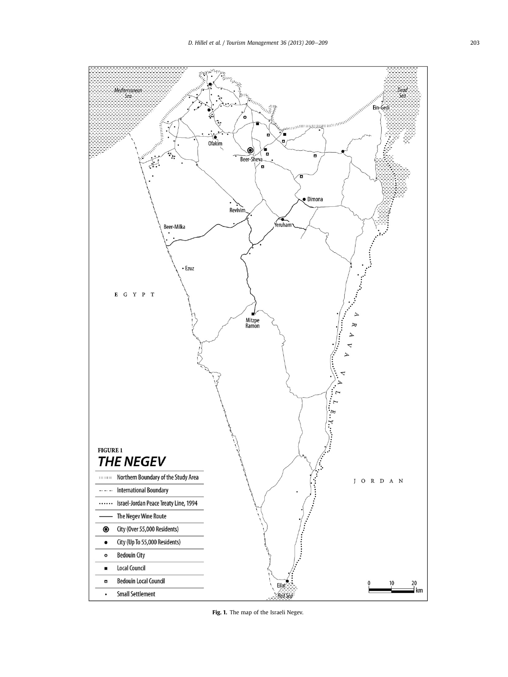<span id="page-3-0"></span>

Fig. 1. The map of the Israeli Negev.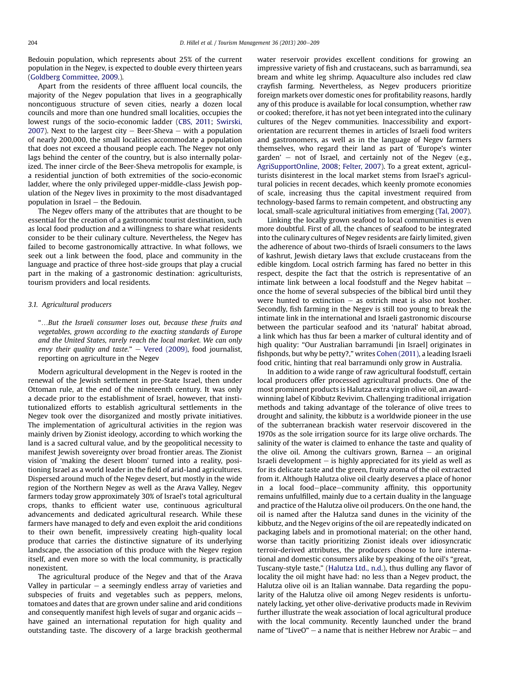Bedouin population, which represents about 25% of the current population in the Negev, is expected to double every thirteen years ([Goldberg Committee, 2009](#page-9-0).).

Apart from the residents of three affluent local councils, the majority of the Negev population that lives in a geographically noncontiguous structure of seven cities, nearly a dozen local councils and more than one hundred small localities, occupies the lowest rungs of the socio-economic ladder [\(CBS, 2011](#page-8-0); [Swirski,](#page-9-0) [2007\)](#page-9-0). Next to the largest city  $-$  Beer-Sheva  $-$  with a population of nearly 200,000, the small localities accommodate a population that does not exceed a thousand people each. The Negev not only lags behind the center of the country, but is also internally polarized. The inner circle of the Beer-Sheva metropolis for example, is a residential junction of both extremities of the socio-economic ladder, where the only privileged upper-middle-class Jewish population of the Negev lives in proximity to the most disadvantaged population in Israel  $-$  the Bedouin.

The Negev offers many of the attributes that are thought to be essential for the creation of a gastronomic tourist destination, such as local food production and a willingness to share what residents consider to be their culinary culture. Nevertheless, the Negev has failed to become gastronomically attractive. In what follows, we seek out a link between the food, place and community in the language and practice of three host-side groups that play a crucial part in the making of a gastronomic destination: agriculturists, tourism providers and local residents.

# 3.1. Agricultural producers

"...But the Israeli consumer loses out, because these fruits and vegetables, grown according to the exacting standards of Europe and the United States, rarely reach the local market. We can only envy their quality and taste."  $-$  [Vered \(2009\),](#page-9-0) food journalist, reporting on agriculture in the Negev

Modern agricultural development in the Negev is rooted in the renewal of the Jewish settlement in pre-State Israel, then under Ottoman rule, at the end of the nineteenth century. It was only a decade prior to the establishment of Israel, however, that institutionalized efforts to establish agricultural settlements in the Negev took over the disorganized and mostly private initiatives. The implementation of agricultural activities in the region was mainly driven by Zionist ideology, according to which working the land is a sacred cultural value, and by the geopolitical necessity to manifest Jewish sovereignty over broad frontier areas. The Zionist vision of 'making the desert bloom' turned into a reality, positioning Israel as a world leader in the field of arid-land agricultures. Dispersed around much of the Negev desert, but mostly in the wide region of the Northern Negev as well as the Arava Valley, Negev farmers today grow approximately 30% of Israel's total agricultural crops, thanks to efficient water use, continuous agricultural advancements and dedicated agricultural research. While these farmers have managed to defy and even exploit the arid conditions to their own benefit, impressively creating high-quality local produce that carries the distinctive signature of its underlying landscape, the association of this produce with the Negev region itself, and even more so with the local community, is practically nonexistent.

The agricultural produce of the Negev and that of the Arava Valley in particular  $-$  a seemingly endless array of varieties and subspecies of fruits and vegetables such as peppers, melons, tomatoes and dates that are grown under saline and arid conditions and consequently manifest high levels of sugar and organic acids  $$ have gained an international reputation for high quality and outstanding taste. The discovery of a large brackish geothermal water reservoir provides excellent conditions for growing an impressive variety of fish and crustaceans, such as barramundi, sea bream and white leg shrimp. Aquaculture also includes red claw crayfish farming. Nevertheless, as Negev producers prioritize foreign markets over domestic ones for profitability reasons, hardly any of this produce is available for local consumption, whether raw or cooked; therefore, it has not yet been integrated into the culinary cultures of the Negev communities. Inaccessibility and exportorientation are recurrent themes in articles of Israeli food writers and gastronomers, as well as in the language of Negev farmers themselves, who regard their land as part of 'Europe's winter garden'  $-$  not of Israel, and certainly not of the Negev (e.g., [AgriSupportOnline, 2008;](#page-8-0) [Felter, 2007\)](#page-8-0). To a great extent, agriculturists disinterest in the local market stems from Israel's agricultural policies in recent decades, which keenly promote economies of scale, increasing thus the capital investment required from technology-based farms to remain competent, and obstructing any local, small-scale agricultural initiatives from emerging ([Tal, 2007\)](#page-9-0).

Linking the locally grown seafood to local communities is even more doubtful. First of all, the chances of seafood to be integrated into the culinary cultures of Negev residents are fairly limited, given the adherence of about two-thirds of Israeli consumers to the laws of kashrut, Jewish dietary laws that exclude crustaceans from the edible kingdom. Local ostrich farming has fared no better in this respect, despite the fact that the ostrich is representative of an intimate link between a local foodstuff and the Negev habitat  $$ once the home of several subspecies of the biblical bird until they were hunted to extinction  $-$  as ostrich meat is also not kosher. Secondly, fish farming in the Negev is still too young to break the intimate link in the international and Israeli gastronomic discourse between the particular seafood and its 'natural' habitat abroad, a link which has thus far been a marker of cultural identity and of high quality: "Our Australian barramundi [in Israel] originates in fishponds, but why be petty?," writes [Cohen \(2011\)](#page-8-0), a leading Israeli food critic, hinting that real barramundi only grow in Australia.

In addition to a wide range of raw agricultural foodstuff, certain local producers offer processed agricultural products. One of the most prominent products is Halutza extra virgin olive oil, an awardwinning label of Kibbutz Revivim. Challenging traditional irrigation methods and taking advantage of the tolerance of olive trees to drought and salinity, the kibbutz is a worldwide pioneer in the use of the subterranean brackish water reservoir discovered in the 1970s as the sole irrigation source for its large olive orchards. The salinity of the water is claimed to enhance the taste and quality of the olive oil. Among the cultivars grown, Barnea  $-$  an original Israeli development  $-$  is highly appreciated for its yield as well as for its delicate taste and the green, fruity aroma of the oil extracted from it. Although Halutza olive oil clearly deserves a place of honor in a local food-place-community affinity, this opportunity remains unfulfilled, mainly due to a certain duality in the language and practice of the Halutza olive oil producers. On the one hand, the oil is named after the Halutza sand dunes in the vicinity of the kibbutz, and the Negev origins of the oil are repeatedly indicated on packaging labels and in promotional material; on the other hand, worse than tacitly prioritizing Zionist ideals over idiosyncratic terroir-derived attributes, the producers choose to lure international and domestic consumers alike by speaking of the oil's "great, Tuscany-style taste," [\(Halutza Ltd., n.d.](#page-9-0)), thus dulling any flavor of locality the oil might have had: no less than a Negev product, the Halutza olive oil is an Italian wannabe. Data regarding the popularity of the Halutza olive oil among Negev residents is unfortunately lacking, yet other olive-derivative products made in Revivim further illustrate the weak association of local agricultural produce with the local community. Recently launched under the brand name of "LiveO"  $-$  a name that is neither Hebrew nor Arabic  $-$  and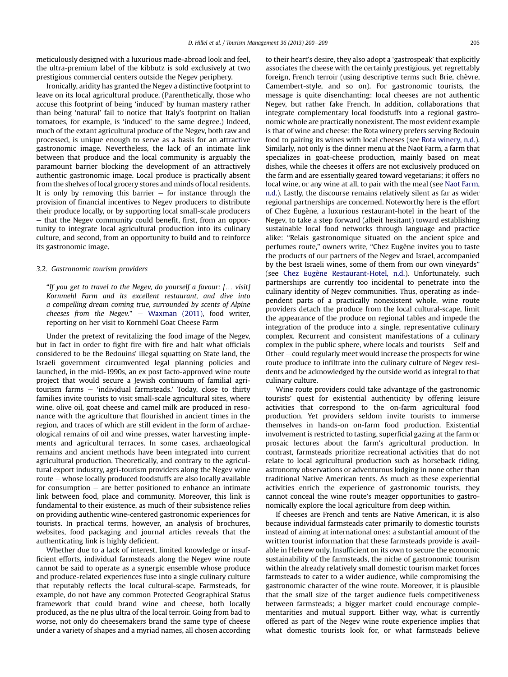meticulously designed with a luxurious made-abroad look and feel, the ultra-premium label of the kibbutz is sold exclusively at two prestigious commercial centers outside the Negev periphery.

Ironically, aridity has granted the Negev a distinctive footprint to leave on its local agricultural produce. (Parenthetically, those who accuse this footprint of being 'induced' by human mastery rather than being 'natural' fail to notice that Italy's footprint on Italian tomatoes, for example, is 'induced' to the same degree.) Indeed, much of the extant agricultural produce of the Negev, both raw and processed, is unique enough to serve as a basis for an attractive gastronomic image. Nevertheless, the lack of an intimate link between that produce and the local community is arguably the paramount barrier blocking the development of an attractively authentic gastronomic image. Local produce is practically absent from the shelves of local grocery stores and minds of local residents. It is only by removing this barrier  $-$  for instance through the provision of financial incentives to Negev producers to distribute their produce locally, or by supporting local small-scale producers  $-$  that the Negev community could benefit, first, from an opportunity to integrate local agricultural production into its culinary culture, and second, from an opportunity to build and to reinforce its gastronomic image.

### 3.2. Gastronomic tourism providers

"If you get to travel to the Negev, do yourself a favour: [... visit] Kornmehl Farm and its excellent restaurant, and dive into a compelling dream coming true, surrounded by scents of Alpine cheeses from the Negev."  $-$  [Waxman \(2011\),](#page-9-0) food writer, reporting on her visit to Kornmehl Goat Cheese Farm

Under the pretext of revitalizing the food image of the Negev, but in fact in order to fight fire with fire and halt what officials considered to be the Bedouins' illegal squatting on State land, the Israeli government circumvented legal planning policies and launched, in the mid-1990s, an ex post facto-approved wine route project that would secure a Jewish continuum of familial agritourism farms  $-$  'individual farmsteads.' Today, close to thirty families invite tourists to visit small-scale agricultural sites, where wine, olive oil, goat cheese and camel milk are produced in resonance with the agriculture that flourished in ancient times in the region, and traces of which are still evident in the form of archaeological remains of oil and wine presses, water harvesting implements and agricultural terraces. In some cases, archaeological remains and ancient methods have been integrated into current agricultural production. Theoretically, and contrary to the agricultural export industry, agri-tourism providers along the Negev wine route - whose locally produced foodstuffs are also locally available for consumption  $-$  are better positioned to enhance an intimate link between food, place and community. Moreover, this link is fundamental to their existence, as much of their subsistence relies on providing authentic wine-centered gastronomic experiences for tourists. In practical terms, however, an analysis of brochures, websites, food packaging and journal articles reveals that the authenticating link is highly deficient.

Whether due to a lack of interest, limited knowledge or insufficient efforts, individual farmsteads along the Negev wine route cannot be said to operate as a synergic ensemble whose produce and produce-related experiences fuse into a single culinary culture that reputably reflects the local cultural-scape. Farmsteads, for example, do not have any common Protected Geographical Status framework that could brand wine and cheese, both locally produced, as the ne plus ultra of the local terroir. Going from bad to worse, not only do cheesemakers brand the same type of cheese under a variety of shapes and a myriad names, all chosen according to their heart's desire, they also adopt a 'gastrospeak' that explicitly associates the cheese with the certainly prestigious, yet regrettably foreign, French terroir (using descriptive terms such Brie, chèvre, Camembert-style, and so on). For gastronomic tourists, the message is quite disenchanting: local cheeses are not authentic Negev, but rather fake French. In addition, collaborations that integrate complementary local foodstuffs into a regional gastronomic whole are practically nonexistent. The most evident example is that of wine and cheese: the Rota winery prefers serving Bedouin food to pairing its wines with local cheeses (see [Rota winery, n.d.\)](#page-9-0). Similarly, not only is the dinner menu at the Naot Farm, a farm that specializes in goat-cheese production, mainly based on meat dishes, while the cheeses it offers are not exclusively produced on the farm and are essentially geared toward vegetarians; it offers no local wine, or any wine at all, to pair with the meal (see [Naot Farm,](#page-9-0) [n.d.](#page-9-0)). Lastly, the discourse remains relatively silent as far as wider regional partnerships are concerned. Noteworthy here is the effort of Chez Eugène, a luxurious restaurant-hotel in the heart of the Negev, to take a step forward (albeit hesitant) toward establishing sustainable local food networks through language and practice alike: "Relais gastronomique situated on the ancient spice and perfumes route," owners write, "Chez Eugène invites you to taste the products of our partners of the Negev and Israel, accompanied by the best Israeli wines, some of them from our own vineyards" (see [Chez Eugène Restaurant-Hotel, n.d.\)](#page-8-0). Unfortunately, such partnerships are currently too incidental to penetrate into the culinary identity of Negev communities. Thus, operating as independent parts of a practically nonexistent whole, wine route providers detach the produce from the local cultural-scape, limit the appearance of the produce on regional tables and impede the integration of the produce into a single, representative culinary complex. Recurrent and consistent manifestations of a culinary complex in the public sphere, where locals and tourists  $-$  Self and Other  $-$  could regularly meet would increase the prospects for wine route produce to infiltrate into the culinary culture of Negev residents and be acknowledged by the outside world as integral to that culinary culture.

Wine route providers could take advantage of the gastronomic tourists' quest for existential authenticity by offering leisure activities that correspond to the on-farm agricultural food production. Yet providers seldom invite tourists to immerse themselves in hands-on on-farm food production. Existential involvement is restricted to tasting, superficial gazing at the farm or prosaic lectures about the farm's agricultural production. In contrast, farmsteads prioritize recreational activities that do not relate to local agricultural production such as horseback riding, astronomy observations or adventurous lodging in none other than traditional Native American tents. As much as these experiential activities enrich the experience of gastronomic tourists, they cannot conceal the wine route's meager opportunities to gastronomically explore the local agriculture from deep within.

If cheeses are French and tents are Native American, it is also because individual farmsteads cater primarily to domestic tourists instead of aiming at international ones: a substantial amount of the written tourist information that these farmsteads provide is available in Hebrew only. Insufficient on its own to secure the economic sustainability of the farmsteads, the niche of gastronomic tourism within the already relatively small domestic tourism market forces farmsteads to cater to a wider audience, while compromising the gastronomic character of the wine route. Moreover, it is plausible that the small size of the target audience fuels competitiveness between farmsteads; a bigger market could encourage complementarities and mutual support. Either way, what is currently offered as part of the Negev wine route experience implies that what domestic tourists look for, or what farmsteads believe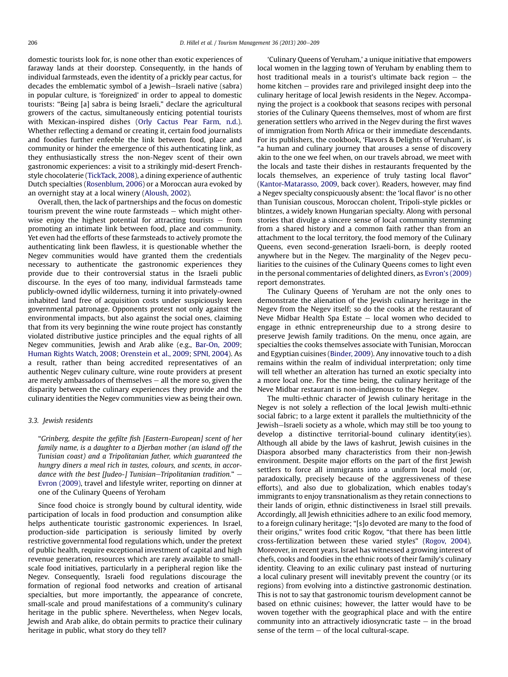domestic tourists look for, is none other than exotic experiences of faraway lands at their doorstep. Consequently, in the hands of individual farmsteads, even the identity of a prickly pear cactus, for decades the emblematic symbol of a Jewish-Israeli native (sabra) in popular culture, is 'foreignized' in order to appeal to domestic tourists: "Being [a] sabra is being Israeli," declare the agricultural growers of the cactus, simultaneously enticing potential tourists with Mexican-inspired dishes [\(Orly Cactus Pear Farm, n.d.\)](#page-9-0). Whether reflecting a demand or creating it, certain food journalists and foodies further enfeeble the link between food, place and community or hinder the emergence of this authenticating link, as they enthusiastically stress the non-Negev scent of their own gastronomic experiences: a visit to a strikingly mid-desert Frenchstyle chocolaterie ([TickTack, 2008\)](#page-9-0), a dining experience of authentic Dutch specialties ([Rosenblum, 2006\)](#page-9-0) or a Moroccan aura evoked by an overnight stay at a local winery ([Aloush, 2002](#page-8-0)).

Overall, then, the lack of partnerships and the focus on domestic tourism prevent the wine route farmsteads  $-$  which might otherwise enjoy the highest potential for attracting tourists  $-$  from promoting an intimate link between food, place and community. Yet even had the efforts of these farmsteads to actively promote the authenticating link been flawless, it is questionable whether the Negev communities would have granted them the credentials necessary to authenticate the gastronomic experiences they provide due to their controversial status in the Israeli public discourse. In the eyes of too many, individual farmsteads tame publicly-owned idyllic wilderness, turning it into privately-owned inhabited land free of acquisition costs under suspiciously keen governmental patronage. Opponents protest not only against the environmental impacts, but also against the social ones, claiming that from its very beginning the wine route project has constantly violated distributive justice principles and the equal rights of all Negev communities, Jewish and Arab alike (e.g., [Bar-On, 2009](#page-8-0); [Human Rights Watch, 2008](#page-9-0); [Orenstein et al., 2009;](#page-9-0) [SPNI, 2004\)](#page-9-0). As a result, rather than being accredited representatives of an authentic Negev culinary culture, wine route providers at present are merely ambassadors of themselves  $-$  all the more so, given the disparity between the culinary experiences they provide and the culinary identities the Negev communities view as being their own.

# 3.3. Jewish residents

"Grinberg, despite the gefilte fish [Eastern-European] scent of her family name, is a daughter to a Djerban mother (an island off the Tunisian coast) and a Tripolitanian father, which guaranteed the hungry diners a meal rich in tastes, colours, and scents, in accordance with the best [Judeo-] Tunisian-Tripolitanian tradition."  $-$ [Evron \(2009\),](#page-8-0) travel and lifestyle writer, reporting on dinner at one of the Culinary Queens of Yeroham

Since food choice is strongly bound by cultural identity, wide participation of locals in food production and consumption alike helps authenticate touristic gastronomic experiences. In Israel, production-side participation is seriously limited by overly restrictive governmental food regulations which, under the pretext of public health, require exceptional investment of capital and high revenue generation, resources which are rarely available to smallscale food initiatives, particularly in a peripheral region like the Negev. Consequently, Israeli food regulations discourage the formation of regional food networks and creation of artisanal specialties, but more importantly, the appearance of concrete, small-scale and proud manifestations of a community's culinary heritage in the public sphere. Nevertheless, when Negev locals, Jewish and Arab alike, do obtain permits to practice their culinary heritage in public, what story do they tell?

'Culinary Queens of Yeruham,' a unique initiative that empowers local women in the lagging town of Yeruham by enabling them to host traditional meals in a tourist's ultimate back region  $-$  the home kitchen  $-$  provides rare and privileged insight deep into the culinary heritage of local Jewish residents in the Negev. Accompanying the project is a cookbook that seasons recipes with personal stories of the Culinary Queens themselves, most of whom are first generation settlers who arrived in the Negev during the first waves of immigration from North Africa or their immediate descendants. For its publishers, the cookbook, 'Flavors & Delights of Yeruham', is "a human and culinary journey that arouses a sense of discovery akin to the one we feel when, on our travels abroad, we meet with the locals and taste their dishes in restaurants frequented by the locals themselves, an experience of truly tasting local flavor" ([Kantor-Matarasso, 2009,](#page-9-0) back cover). Readers, however, may find a Negev specialty conspicuously absent: the 'local flavor' is no other than Tunisian couscous, Moroccan cholent, Tripoli-style pickles or blintzes, a widely known Hungarian specialty. Along with personal stories that divulge a sincere sense of local community stemming from a shared history and a common faith rather than from an attachment to the local territory, the food memory of the Culinary Queens, even second-generation Israeli-born, is deeply rooted anywhere but in the Negev. The marginality of the Negev peculiarities to the cuisines of the Culinary Queens comes to light even in the personal commentaries of delighted diners, as Evron'[s \(2009\)](#page-8-0) report demonstrates.

The Culinary Queens of Yeruham are not the only ones to demonstrate the alienation of the Jewish culinary heritage in the Negev from the Negev itself; so do the cooks at the restaurant of Neve Midbar Health Spa Estate  $-$  local women who decided to engage in ethnic entrepreneurship due to a strong desire to preserve Jewish family traditions. On the menu, once again, are specialties the cooks themselves associate with Tunisian, Moroccan and Egyptian cuisines [\(Binder, 2009\)](#page-8-0). Any innovative touch to a dish remains within the realm of individual interpretation; only time will tell whether an alteration has turned an exotic specialty into a more local one. For the time being, the culinary heritage of the Neve Midbar restaurant is non-indigenous to the Negev.

The multi-ethnic character of Jewish culinary heritage in the Negev is not solely a reflection of the local Jewish multi-ethnic social fabric; to a large extent it parallels the multiethnicity of the Jewish-Israeli society as a whole, which may still be too young to develop a distinctive territorial-bound culinary identity(ies). Although all abide by the laws of kashrut, Jewish cuisines in the Diaspora absorbed many characteristics from their non-Jewish environment. Despite major efforts on the part of the first Jewish settlers to force all immigrants into a uniform local mold (or, paradoxically, precisely because of the aggressiveness of these efforts), and also due to globalization, which enables today's immigrants to enjoy transnationalism as they retain connections to their lands of origin, ethnic distinctiveness in Israel still prevails. Accordingly, all Jewish ethnicities adhere to an exilic food memory, to a foreign culinary heritage; "[s]o devoted are many to the food of their origins," writes food critic Rogov, "that there has been little cross-fertilization between these varied styles" ([Rogov, 2004\)](#page-9-0). Moreover, in recent years, Israel has witnessed a growing interest of chefs, cooks and foodies in the ethnic roots of their family's culinary identity. Cleaving to an exilic culinary past instead of nurturing a local culinary present will inevitably prevent the country (or its regions) from evolving into a distinctive gastronomic destination. This is not to say that gastronomic tourism development cannot be based on ethnic cuisines; however, the latter would have to be woven together with the geographical place and with the entire community into an attractively idiosyncratic taste  $-$  in the broad sense of the term  $-$  of the local cultural-scape.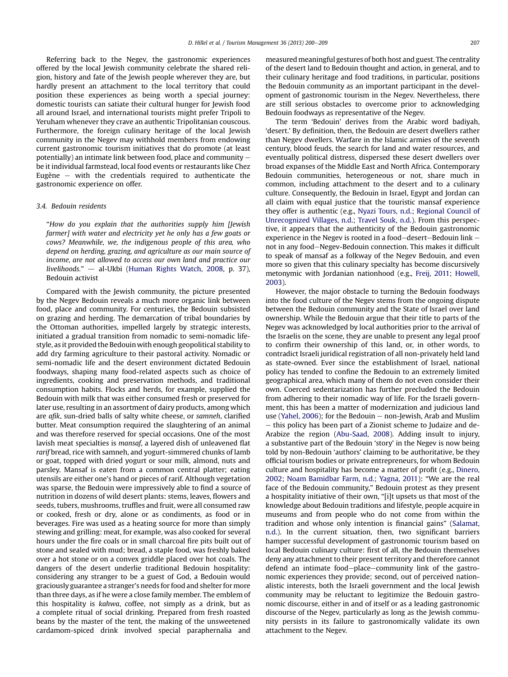Referring back to the Negev, the gastronomic experiences offered by the local Jewish community celebrate the shared religion, history and fate of the Jewish people wherever they are, but hardly present an attachment to the local territory that could position these experiences as being worth a special journey: domestic tourists can satiate their cultural hunger for Jewish food all around Israel, and international tourists might prefer Tripoli to Yeruham whenever they crave an authentic Tripolitanian couscous. Furthermore, the foreign culinary heritage of the local Jewish community in the Negev may withhold members from endowing current gastronomic tourism initiatives that do promote (at least potentially) an intimate link between food, place and community  $$ be it individual farmstead, local food events or restaurants like Chez Eugène  $-$  with the credentials required to authenticate the gastronomic experience on offer.

### 3.4. Bedouin residents

"How do you explain that the authorities supply him [Jewish farmer] with water and electricity yet he only has a few goats or cows? Meanwhile, we, the indigenous people of this area, who depend on herding, grazing, and agriculture as our main source of income, are not allowed to access our own land and practice our  $livelihoods." - al-Ukbi (Human Rights Watch, 2008, p. 37),$  $livelihoods." - al-Ukbi (Human Rights Watch, 2008, p. 37),$  $livelihoods." - al-Ukbi (Human Rights Watch, 2008, p. 37),$ Bedouin activist

Compared with the Jewish community, the picture presented by the Negev Bedouin reveals a much more organic link between food, place and community. For centuries, the Bedouin subsisted on grazing and herding. The demarcation of tribal boundaries by the Ottoman authorities, impelled largely by strategic interests, initiated a gradual transition from nomadic to semi-nomadic lifestyle, as it provided the Bedouinwith enough geopolitical stability to add dry farming agriculture to their pastoral activity. Nomadic or semi-nomadic life and the desert environment dictated Bedouin foodways, shaping many food-related aspects such as choice of ingredients, cooking and preservation methods, and traditional consumption habits. Flocks and herds, for example, supplied the Bedouin with milk that was either consumed fresh or preserved for later use, resulting in an assortment of dairy products, among which are afik, sun-dried balls of salty white cheese, or samneh, clarified butter. Meat consumption required the slaughtering of an animal and was therefore reserved for special occasions. One of the most lavish meat specialties is mansaf, a layered dish of unleavened flat rarif bread, rice with samneh, and yogurt-simmered chunks of lamb or goat, topped with dried yogurt or sour milk, almond, nuts and parsley. Mansaf is eaten from a common central platter; eating utensils are either one's hand or pieces of rarif. Although vegetation was sparse, the Bedouin were impressively able to find a source of nutrition in dozens of wild desert plants: stems, leaves, flowers and seeds, tubers, mushrooms, truffles and fruit, were all consumed raw or cooked, fresh or dry, alone or as condiments, as food or in beverages. Fire was used as a heating source for more than simply stewing and grilling: meat, for example, was also cooked for several hours under the fire coals or in small charcoal fire pits built out of stone and sealed with mud; bread, a staple food, was freshly baked over a hot stone or on a convex griddle placed over hot coals. The dangers of the desert underlie traditional Bedouin hospitality: considering any stranger to be a guest of God, a Bedouin would graciously guarantee a stranger's needs for food and shelter for more than three days, as if he were a close family member. The emblem of this hospitality is kahwa, coffee, not simply as a drink, but as a complete ritual of social drinking. Prepared from fresh roasted beans by the master of the tent, the making of the unsweetened cardamom-spiced drink involved special paraphernalia and

measured meaningful gestures of both host and guest. The centrality of the desert land to Bedouin thought and action, in general, and to their culinary heritage and food traditions, in particular, positions the Bedouin community as an important participant in the development of gastronomic tourism in the Negev. Nevertheless, there are still serious obstacles to overcome prior to acknowledging Bedouin foodways as representative of the Negev.

The term 'Bedouin' derives from the Arabic word badiyah, 'desert.' By definition, then, the Bedouin are desert dwellers rather than Negev dwellers. Warfare in the Islamic armies of the seventh century, blood feuds, the search for land and water resources, and eventually political distress, dispersed these desert dwellers over broad expanses of the Middle East and North Africa. Contemporary Bedouin communities, heterogeneous or not, share much in common, including attachment to the desert and to a culinary culture. Consequently, the Bedouin in Israel, Egypt and Jordan can all claim with equal justice that the touristic mansaf experience they offer is authentic (e.g., [Nyazi Tours, n.d.;](#page-9-0) [Regional Council of](#page-9-0) [Unrecognized Villages, n.d.](#page-9-0); [Travel Souk, n.d.\)](#page-9-0). From this perspective, it appears that the authenticity of the Bedouin gastronomic experience in the Negev is rooted in a food-desert-Bedouin link  $$ not in any food-Negev-Bedouin connection. This makes it difficult to speak of mansaf as a folkway of the Negev Bedouin, and even more so given that this culinary specialty has become discursively metonymic with Jordanian nationhood (e.g., [Freij, 2011](#page-9-0); [Howell,](#page-9-0) [2003\)](#page-9-0).

However, the major obstacle to turning the Bedouin foodways into the food culture of the Negev stems from the ongoing dispute between the Bedouin community and the State of Israel over land ownership. While the Bedouin argue that their title to parts of the Negev was acknowledged by local authorities prior to the arrival of the Israelis on the scene, they are unable to present any legal proof to confirm their ownership of this land, or, in other words, to contradict Israeli juridical registration of all non-privately held land as state-owned. Ever since the establishment of Israel, national policy has tended to confine the Bedouin to an extremely limited geographical area, which many of them do not even consider their own. Coerced sedentarization has further precluded the Bedouin from adhering to their nomadic way of life. For the Israeli government, this has been a matter of modernization and judicious land use ([Yahel, 2006](#page-9-0)); for the Bedouin  $-$  non-Jewish, Arab and Muslim - this policy has been part of a Zionist scheme to Judaize and de-Arabize the region ([Abu-Saad, 2008](#page-8-0)). Adding insult to injury, a substantive part of the Bedouin 'story' in the Negev is now being told by non-Bedouin 'authors' claiming to be authoritative, be they official tourism bodies or private entrepreneurs, for whom Bedouin culture and hospitality has become a matter of profit (e.g., [Dinero,](#page-8-0) [2002;](#page-8-0) [Noam Bamidbar Farm, n.d.](#page-9-0); [Yagna, 2011](#page-9-0)): "We are the real face of the Bedouin community," Bedouin protest as they present a hospitality initiative of their own, "[i]t upsets us that most of the knowledge about Bedouin traditions and lifestyle, people acquire in museums and from people who do not come from within the tradition and whose only intention is financial gains" ([Salamat,](#page-9-0) [n.d.](#page-9-0)). In the current situation, then, two significant barriers hamper successful development of gastronomic tourism based on local Bedouin culinary culture: first of all, the Bedouin themselves deny any attachment to their present territory and therefore cannot defend an intimate food-place-community link of the gastronomic experiences they provide; second, out of perceived nationalistic interests, both the Israeli government and the local Jewish community may be reluctant to legitimize the Bedouin gastronomic discourse, either in and of itself or as a leading gastronomic discourse of the Negev, particularly as long as the Jewish community persists in its failure to gastronomically validate its own attachment to the Negev.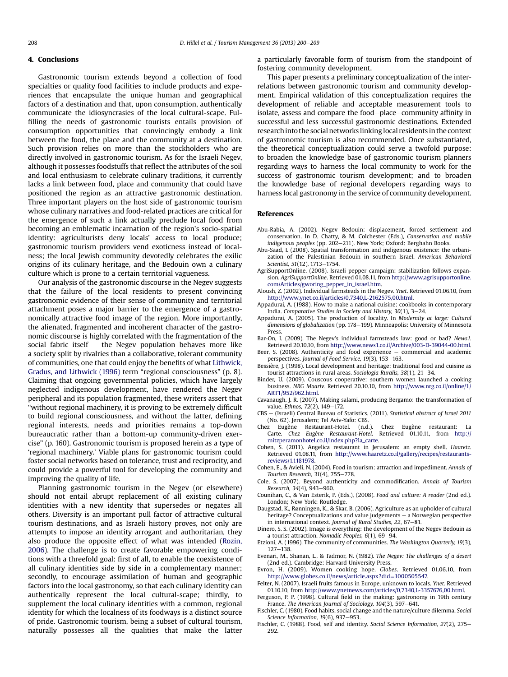### <span id="page-8-0"></span>4. Conclusions

Gastronomic tourism extends beyond a collection of food specialties or quality food facilities to include products and experiences that encapsulate the unique human and geographical factors of a destination and that, upon consumption, authentically communicate the idiosyncrasies of the local cultural-scape. Fulfilling the needs of gastronomic tourists entails provision of consumption opportunities that convincingly embody a link between the food, the place and the community at a destination. Such provision relies on more than the stockholders who are directly involved in gastronomic tourism. As for the Israeli Negev, although it possesses foodstuffs that reflect the attributes of the soil and local enthusiasm to celebrate culinary traditions, it currently lacks a link between food, place and community that could have positioned the region as an attractive gastronomic destination. Three important players on the host side of gastronomic tourism whose culinary narratives and food-related practices are critical for the emergence of such a link actually preclude local food from becoming an emblematic incarnation of the region's socio-spatial identity: agriculturists deny locals' access to local produce; gastronomic tourism providers vend exoticness instead of localness; the local Jewish community devotedly celebrates the exilic origins of its culinary heritage, and the Bedouin own a culinary culture which is prone to a certain territorial vagueness.

Our analysis of the gastronomic discourse in the Negev suggests that the failure of the local residents to present convincing gastronomic evidence of their sense of community and territorial attachment poses a major barrier to the emergence of a gastronomically attractive food image of the region. More importantly, the alienated, fragmented and incoherent character of the gastronomic discourse is highly correlated with the fragmentation of the social fabric itself  $-$  the Negev population behaves more like a society split by rivalries than a collaborative, tolerant community of communities, one that could enjoy the benefits of what [Lithwick,](#page-9-0) [Gradus, and Lithwick \(1996\)](#page-9-0) term "regional consciousness" (p. 8). Claiming that ongoing governmental policies, which have largely neglected indigenous development, have rendered the Negev peripheral and its population fragmented, these writers assert that "without regional machinery, it is proving to be extremely difficult to build regional consciousness, and without the latter, defining regional interests, needs and priorities remains a top-down bureaucratic rather than a bottom-up community-driven exercise" (p. 160). Gastronomic tourism is proposed herein as a type of 'regional machinery.' Viable plans for gastronomic tourism could foster social networks based on tolerance, trust and reciprocity, and could provide a powerful tool for developing the community and improving the quality of life.

Planning gastronomic tourism in the Negev (or elsewhere) should not entail abrupt replacement of all existing culinary identities with a new identity that supersedes or negates all others. Diversity is an important pull factor of attractive cultural tourism destinations, and as Israeli history proves, not only are attempts to impose an identity arrogant and authoritarian, they also produce the opposite effect of what was intended ([Rozin,](#page-9-0) [2006](#page-9-0)). The challenge is to create favorable empowering conditions with a threefold goal: first of all, to enable the coexistence of all culinary identities side by side in a complementary manner; secondly, to encourage assimilation of human and geographic factors into the local gastronomy, so that each culinary identity can authentically represent the local cultural-scape; thirdly, to supplement the local culinary identities with a common, regional identity for which the localness of its foodways is a distinct source of pride. Gastronomic tourism, being a subset of cultural tourism, naturally possesses all the qualities that make the latter a particularly favorable form of tourism from the standpoint of fostering community development.

This paper presents a preliminary conceptualization of the interrelations between gastronomic tourism and community development. Empirical validation of this conceptualization requires the development of reliable and acceptable measurement tools to isolate, assess and compare the food-place-community affinity in successful and less successful gastronomic destinations. Extended research into the social networks linking local residents in the context of gastronomic tourism is also recommended. Once substantiated, the theoretical conceptualization could serve a twofold purpose: to broaden the knowledge base of gastronomic tourism planners regarding ways to harness the local community to work for the success of gastronomic tourism development; and to broaden the knowledge base of regional developers regarding ways to harness local gastronomy in the service of community development.

# References

- Abu-Rabia, A. (2002). Negev Bedouin: displacement, forced settlement and conservation. In D. Chatty, & M. Colchester (Eds.), Conservation and mobile indigenous peoples (pp. 202-211). New York; Oxford: Berghahn Books.
- Abu-Saad, I. (2008). Spatial transformation and indigenous existence: the urbanization of the Palestinian Bedouin in southern Israel. American Behavioral Scientist, 51(12), 1713-1754.
- AgriSupportOnline. (2008). Israeli pepper campaign: stabilization follows expansion. AgriSupportOnline. Retrieved 01.08.11, from [http://www.agrisupportonline.](http://www.agrisupportonline.com/Articles/gworing_pepper_in_israel.htm) [com/Articles/gworing\\_pepper\\_in\\_israel.htm.](http://www.agrisupportonline.com/Articles/gworing_pepper_in_israel.htm)
- Aloush, Z. (2002). Individual farmsteads in the Negev. Ynet. Retrieved 01.06.10, from [http://www.ynet.co.il/articles/0,7340,L-2162575,00.html.](http://www.ynet.co.il/articles/0,7340,L-2162575,00.html)
- Appadurai, A. (1988). How to make a national cuisine: cookbooks in contemporary India. Comparative Studies in Society and History,  $30(1)$ ,  $3-24$ .
- Appadurai, A. (2005). The production of locality. In Modernity at large: Cultural dimensions of globalization (pp. 178-199). Minneapolis: University of Minnesota Press.
- Bar-On, I. (2009). The Negev's individual farmsteads law: good or bad? News1. Retrieved 20.10.10, from <http://www.news1.co.il/Archive/003-D-39044-00.html>.
- Beer, S. (2008). Authenticity and food experience  $-$  commercial and academic perspectives. Journal of Food Service,  $19(3)$ ,  $153-163$ .
- Bessière, J. (1998). Local development and heritage: traditional food and cuisine as tourist attractions in rural areas. Sociologia Ruralis,  $38(1)$ ,  $21-34$ .
- Binder, U. (2009). Couscous cooperative: southern women launched a cooking business. NRG Maariv. Retrieved 20.10.10, from [http://www.nrg.co.il/online/1/](http://www.nrg.co.il/online/1/ART1/952/962.html) [ART1/952/962.html.](http://www.nrg.co.il/online/1/ART1/952/962.html)
- Cavanaugh, J. R. (2007). Making salami, producing Bergamo: the transformation of value. Ethnos,  $72(2)$ ,  $149-172$ .
- CBS (Israeli) Central Bureau of Statistics. (2011). Statistical abstract of Israel 2011 (No. 62). Jerusalem; Tel Aviv-Yafo: CBS
- Chez Eugène Restaurant-Hotel. (n.d.). Chez Eugène restaurant: La Carte. Chez Eugène Restaurant-Hotel. Retrieved 01.10.11, from [http://](http://mitzperamonhotel.co.il/index.php%3fla_carte) [mitzperamonhotel.co.il/index.php?la\\_carte](http://mitzperamonhotel.co.il/index.php%3fla_carte).
- Cohen, S. (2011). Angelica restaurant in Jerusalem: an empty shell. Haaretz. Retrieved 01.08.11, from [http://www.haaretz.co.il/gallery/recipes/restaurants](http://www.haaretz.co.il/gallery/recipes/restaurants-reviews/1.1181978)[reviews/1.1181978.](http://www.haaretz.co.il/gallery/recipes/restaurants-reviews/1.1181978)
- Cohen, E., & Avieli, N. (2004). Food in tourism: attraction and impediment. Annals of Tourism Research, 31(4), 755-778.
- Cole, S. (2007). Beyond authenticity and commodification. Annals of Tourism Research, 34(4), 943-960.
- Counihan, C., & Van Esterik, P. (Eds.), (2008). Food and culture: A reader (2nd ed.). London; New York: Routledge.
- Daugstad, K., Rønningen, K., & Skar, B. (2006). Agriculture as an upholder of cultural heritage? Conceptualizations and value judgements  $-$  a Norwegian perspective in international context. Journal of Rural Studies, 22, 67-81.
- Dinero, S. S. (2002). Image is everything: the development of the Negev Bedouin as a tourist attraction. Nomadic Peoples,  $6(1)$ ,  $69-94$ .
- Etzioni, A. (1996). The community of communities. The Washington Quarterly, 19(3),  $127 - 138$ .
- Evenari, M., Shanan, L., & Tadmor, N. (1982). The Negev: The challenges of a desert (2nd ed.). Cambridge: Harvard University Press.
- Evron, H. (2009). Women cooking hope. Globes. Retrieved 01.06.10, from [http://www.globes.co.il/news/article.aspx?did](http://www.globes.co.il/news/article.aspx%3fdid%3d1000505547)=[1000505547.](http://www.globes.co.il/news/article.aspx%3fdid%3d1000505547)
- Felter, N. (2007). Israeli fruits famous in Europe, unknown to locals. Ynet. Retrieved 01.10.10, from <http://www.ynetnews.com/articles/0,7340,L-3357676,00.html>.
- Ferguson, P. P. (1998). Cultural field in the making: gastronomy in 19th century France. The American Journal of Sociology, 104(3), 597-641.
- Fischler, C. (1980). Food habits, social change and the nature/culture dilemma. Social Science Information, 19(6), 937-953.
- Fischler, C. (1988). Food, self and identity. Social Science Information, 27(2), 275-292.